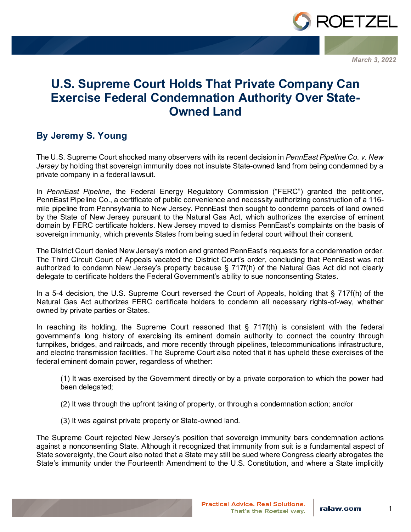

*March 3, 2022*

## **U.S. Supreme Court Holds That Private Company Can Exercise Federal Condemnation Authority Over State-Owned Land**

## **By Jeremy S. Young**

The U.S. Supreme Court shocked many observers with its recent decision in *PennEast Pipeline Co. v. New Jersey* by holding that sovereign immunity does not insulate State-owned land from being condemned by a private company in a federal lawsuit.

In *PennEast Pipeline*, the Federal Energy Regulatory Commission ("FERC") granted the petitioner, PennEast Pipeline Co., a certificate of public convenience and necessity authorizing construction of a 116 mile pipeline from Pennsylvania to New Jersey. PennEast then sought to condemn parcels of land owned by the State of New Jersey pursuant to the Natural Gas Act, which authorizes the exercise of eminent domain by FERC certificate holders. New Jersey moved to dismiss PennEast's complaints on the basis of sovereign immunity, which prevents States from being sued in federal court without their consent.

The District Court denied New Jersey's motion and granted PennEast's requests for a condemnation order. The Third Circuit Court of Appeals vacated the District Court's order, concluding that PennEast was not authorized to condemn New Jersey's property because § 717f(h) of the Natural Gas Act did not clearly delegate to certificate holders the Federal Government's ability to sue nonconsenting States.

In a 5-4 decision, the U.S. Supreme Court reversed the Court of Appeals, holding that § 717f(h) of the Natural Gas Act authorizes FERC certificate holders to condemn all necessary rights-of-way, whether owned by private parties or States.

In reaching its holding, the Supreme Court reasoned that  $\S$  717f(h) is consistent with the federal government's long history of exercising its eminent domain authority to connect the country through turnpikes, bridges, and railroads, and more recently through pipelines, telecommunications infrastructure, and electric transmission facilities. The Supreme Court also noted that it has upheld these exercises of the federal eminent domain power, regardless of whether:

(1) It was exercised by the Government directly or by a private corporation to which the power had been delegated;

- (2) It was through the upfront taking of property, or through a condemnation action; and/or
- (3) It was against private property or State-owned land.

The Supreme Court rejected New Jersey's position that sovereign immunity bars condemnation actions against a nonconsenting State. Although it recognized that immunity from suit is a fundamental aspect of State sovereignty, the Court also noted that a State may still be sued where Congress clearly abrogates the State's immunity under the Fourteenth Amendment to the U.S. Constitution, and where a State implicitly